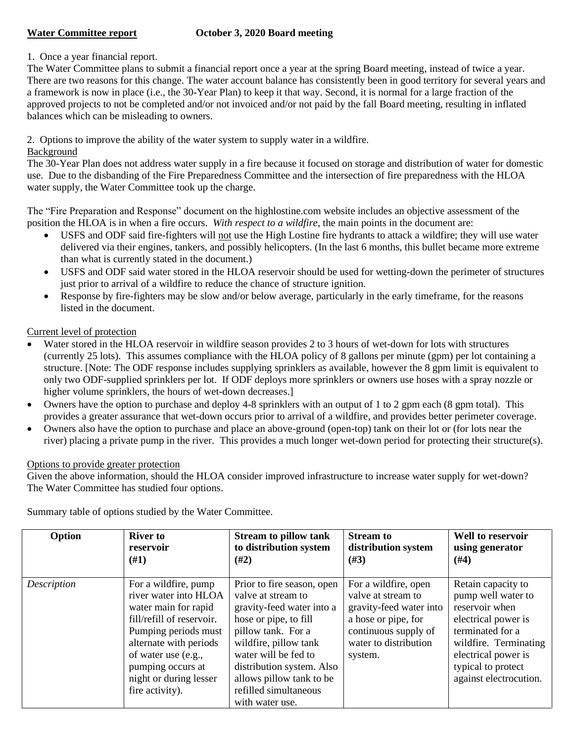# **Water Committee report October 3, 2020 Board meeting**

## 1. Once a year financial report.

The Water Committee plans to submit a financial report once a year at the spring Board meeting, instead of twice a year. There are two reasons for this change. The water account balance has consistently been in good territory for several years and a framework is now in place (i.e., the 30-Year Plan) to keep it that way. Second, it is normal for a large fraction of the approved projects to not be completed and/or not invoiced and/or not paid by the fall Board meeting, resulting in inflated balances which can be misleading to owners.

2. Options to improve the ability of the water system to supply water in a wildfire.

#### Background

The 30-Year Plan does not address water supply in a fire because it focused on storage and distribution of water for domestic use. Due to the disbanding of the Fire Preparedness Committee and the intersection of fire preparedness with the HLOA water supply, the Water Committee took up the charge.

The "Fire Preparation and Response" document on the highlostine.com website includes an objective assessment of the position the HLOA is in when a fire occurs. *With respect to a wildfire*, the main points in the document are[:](https://dfee898a-7034-450e-8539-680ca7393ac4.filesusr.com/ugd/05b25d_4446a1d78c6b4031874edfe8ca950a3a.pdf#page=2)

- USFS and ODF said fire-fighters will not use the High Lostine fire hydrants to attack a wildfire; they will use water delivered via their engines, tankers, and possibly helicopters. (In the last 6 months, this bullet became more extreme than what is currently stated in the document.)
- USFS and ODF said water stored in the HLOA reservoir should be used for wetting-down the perimeter of structures just prior to arrival of a wildfire to reduce the chance of structure ignition.
- Response by fire-fighters may be slow and/or below average, particularly in the early timeframe, for the reasons listed in the document.

### Current level of protection

- Water stored in the HLOA reservoir in wildfire season provides 2 to 3 hours of wet-down for lots with structures (currently 25 lots). This assumes compliance with the HLOA policy of 8 gallons per minute (gpm) per lot containing a structure. [Note: The ODF response includes supplying sprinklers as available, however the 8 gpm limit is equivalent to only two ODF-supplied sprinklers per lot. If ODF deploys more sprinklers or owners use hoses with a spray nozzle or higher volume sprinklers, the hours of wet-down decreases.
- Owners have the option to purchase and deploy 4-8 sprinklers with an output of 1 to 2 gpm each (8 gpm total). This provides a greater assurance that wet-down occurs prior to arrival of a wildfire, and provides better perimeter coverage.
- Owners also have the option to purchase and place an above-ground (open-top) tank on their lot or (for lots near the river) placing a private pump in the river. This provides a much longer wet-down period for protecting their structure(s).

#### Options to provide greater protection

Given the above information, should the HLOA consider improved infrastructure to increase water supply for wet-down? The Water Committee has studied four options.

| Option      | <b>River to</b>                                                                                                                                                                                                                               | <b>Stream to pillow tank</b>                                                                                                                                                                                                                                                       | <b>Stream to</b>                                                                                                                                         | <b>Well to reservoir</b>                                                                                                                                                                              |
|-------------|-----------------------------------------------------------------------------------------------------------------------------------------------------------------------------------------------------------------------------------------------|------------------------------------------------------------------------------------------------------------------------------------------------------------------------------------------------------------------------------------------------------------------------------------|----------------------------------------------------------------------------------------------------------------------------------------------------------|-------------------------------------------------------------------------------------------------------------------------------------------------------------------------------------------------------|
|             | reservoir                                                                                                                                                                                                                                     | to distribution system                                                                                                                                                                                                                                                             | distribution system                                                                                                                                      | using generator                                                                                                                                                                                       |
|             | (#1)                                                                                                                                                                                                                                          | (#2)                                                                                                                                                                                                                                                                               | $(\#3)$                                                                                                                                                  | (#4)                                                                                                                                                                                                  |
| Description | For a wildfire, pump<br>river water into HLOA<br>water main for rapid<br>fill/refill of reservoir.<br>Pumping periods must<br>alternate with periods<br>of water use (e.g.,<br>pumping occurs at<br>night or during lesser<br>fire activity). | Prior to fire season, open<br>valve at stream to<br>gravity-feed water into a<br>hose or pipe, to fill<br>pillow tank. For a<br>wildfire, pillow tank<br>water will be fed to<br>distribution system. Also<br>allows pillow tank to be<br>refilled simultaneous<br>with water use. | For a wildfire, open<br>valve at stream to<br>gravity-feed water into<br>a hose or pipe, for<br>continuous supply of<br>water to distribution<br>system. | Retain capacity to<br>pump well water to<br>reservoir when<br>electrical power is<br>terminated for a<br>wildfire. Terminating<br>electrical power is<br>typical to protect<br>against electrocution. |

Summary table of options studied by the Water Committee.